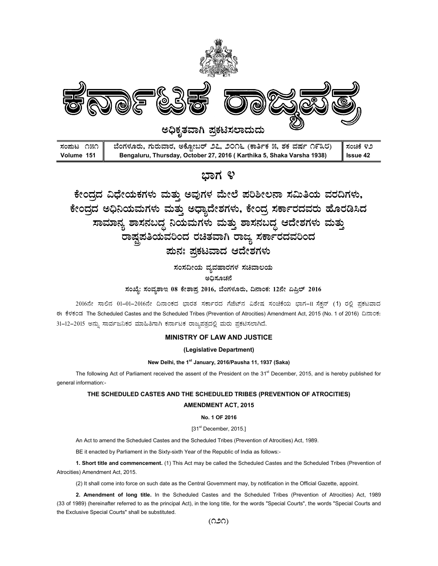

# ಬಾಗ ೪

ಕೇಂದ್ರದ ವಿಧೇಯಕಗಳು ಮತ್ತು ಅವುಗಳ ಮೇಲೆ ಪರಿಶೀಲನಾ ಸಮಿತಿಯ ವರದಿಗಳು, ಕೇಂದ್ರದ ಅಧಿನಿಯಮಗಳು ಮತ್ತು ಅಧ್ಯಾದೇಶಗಳು, ಕೇಂದ್ರ ಸರ್ಕಾರದವರು ಹೊರಡಿಸಿದ ಸಾಮಾನ್ಯ ಶಾಸನಬದ್ಧ ನಿಯಮಗಳು ಮತ್ತು ಶಾಸನಬದ್ಧ ಆದೇಶಗಳು ಮತ್ತು<br>ರಾಷ್ಟ್ರಪತಿಯವರಿಂದ ರಚಿತವಾಗಿ ರಾಜ್ಯ ಸರ್ಕಾರದವರಿಂದ<br>ಮನಃ ಪ್ರಕಟವಾದ ಆದೇಶಗಳು ತ್ತು ಅಧ್ಯಾದೇಶಗಳು, ಕೇಂದ್ರ ಸರ್ಕಾರದವರ<br>)ಯಮಗಳು ಮತ್ತು ಶಾಸನಬದ್ಧ ಆದೇಶಗಳು<br>)ಂದ ರಚಿತವಾಗಿ ರಾಜ್ಯ ಸರ್ಕಾರದವರಿಂದ<br>ಸಂಸದೀಯ ವ್ಯವಹಾರಗಳ ಸಚಿವಾಲಯ<br>ಸಂಸದೀಯ ವ್ಯವಹಾರಗಳ ಸಚಿವಾಲಯ<br>8 ಕೇಶಾತ್ರ 2016, ಬೆಂಗಳೂರು, ದಿನಾಂಕ: 12ನೇ ಏಪ್ರಿಲ್ 201<br>ದ ಭಾರತ ಸರ್ಕಾರದ ಗೆಜೆಟ್ನ್ ಸಾಮಾನ್ಯ ಶಾಸನಬದ್ಧ ನಿಯಮಗಳು ಮತ್ತು ಶಾಸನಬದ್ಧ ಆದೇಶಗಳು ಮತ್ತು<br>ರಾಷ್ಟ್ರಪತಿಯವರಿಂದ ರಚಿತವಾಗಿ ರಾಜ್ಯ ಸರ್ಕಾರದವರಿಂದ<br>ಮನಃ ಪ್ರಕಟವಾದ ಆದೇಶಗಳು<br>ಸಂಸೋಯ ವ್ಯವಹಾರಗಳ ಸಚಿವಾಲಯ<br>ಸಂಖ್ಯೆ: ಸಂವೃತಾಇ 08 ಕೇಶಾಪ್ರ 2016, ಬೆಂಗಳೂರು, ದಿನಾಂಕ: 12ನೇ ಏಪ್ರಿಲ್ 2016<br>2016ನೇ

ಸಂಖ್ಯೆ: ಸಂವ್ಯಶಾಇ 08 ಕೇಶಾಪ್ರ 2016, ಬೆಂಗಳೂರು, ದಿನಾಂಕ: 12ನೇ ಏಪ್ರಿಲ್ 2016

2012 - 2016 ಬೇಟಿ ಮಾಡು ಬೆಲೆ ಬೆಂಬಿಕ್ ಬೆಂಬಿಕ್ ಬೆಂಬಿಕ್ ಬೆಂಬಿಕ್ ಬೆಂಬಿಕ್ ಬೆಂಬಿಕ್ ಬೆಂಬಿಕ್ ಬೆಂಬಿಕ್ ಬೆಂಬಿಕ್ ಬೆಂಬಿಕ್ ಬೆಂಬಿಕ್ ಬೆಂಬಿಕ್ ಬೆಂಬಿಕ್ ಬೆಂಬಿಕ್ ಬೆಂಬಿಕ್ ಬೆಂಬಿಕ್ ಬೆಂಬಿಕ್ ಬೆಂಬಿಕ್ ಬೆಂಬಿಕ್ ಬೆಂಬಿಕ್ ಬೆಂಬಿಕ್ ಬೆಂಬಿಕ್ ಬೆಂಬಿಕ್ ಬೆಂಬಿಕ್ ಬ ಯಿರಿನಿಕಿ ಯೊರೆಮಿಂದಿ ಆದಿಗಳು<br>F ಸಂಸದೀಯ ವ್ಯವಹಾರಗಳ ಸಚಿವಾಲಯ<br>ಅಧಿಸೂಚನೆ<br>ಸಂಖ್ಯೆ: ಸಂವೃಶಾಇ 08 ಕೇಶಾಪ್ತ 2016, ಬೆಂಗಳೂರು, ದಿನಾಂಕ: 12ನೇ ಏಕ್ರಿಲ್ 2016<br>2016ನೇ ಸಾಲಿನ 01-01-2016ನೇ ದಿನಾಂಕದ ಭಾರತ ಸರ್ಕಾರದ ಗೆಜೆಟ್**ನ ವಿಶೇಷ ಸಂಚಿಕೆಯ ಭಾಗ–II ಸೆಕ್ಷನ್ (1)** 31-12-2015 ಅನ್ನು ಸಾರ್ವಜನಿಕರ ಮಾಹಿತಿಗಾಗಿ ಕರ್ನಾಟಕ ರಾಜ್ಯಪತ್ರದಲ್ಲಿ ಮರು ಪ್ರಕಟಿಸಲಾಗಿದೆ.

#### MINISTRY OF LAW AND JUSTICE

#### (Legislative Department)

#### New Delhi, the 1<sup>st</sup> January, 2016/Pausha 11, 1937 (Saka)

The following Act of Parliament received the assent of the President on the 31<sup>st</sup> December, 2015, and is hereby published for general information:-

### THE SCHEDULED CASTES AND THE SCHEDULED TRIBES (PREVENTION OF ATROCITIES) AMENDMENT ACT, 2015

#### No. 1 OF 2016

 $[31<sup>st</sup> December, 2015.]$ 

An Act to amend the Scheduled Castes and the Scheduled Tribes (Prevention of Atrocities) Act, 1989.

BE it enacted by Parliament in the Sixty-sixth Year of the Republic of India as follows:-

1. Short title and commencement. (1) This Act may be called the Scheduled Castes and the Scheduled Tribes (Prevention of Atrocities) Amendment Act, 2015.

(2) It shall come into force on such date as the Central Government may, by notification in the Official Gazette, appoint.

2. Amendment of long title. In the Scheduled Castes and the Scheduled Tribes (Prevention of Atrocities) Act, 1989 (33 of 1989) (hereinafter referred to as the principal Act), in the long title, for the words "Special Courts", the words "Special Courts and the Exclusive Special Courts" shall be substituted.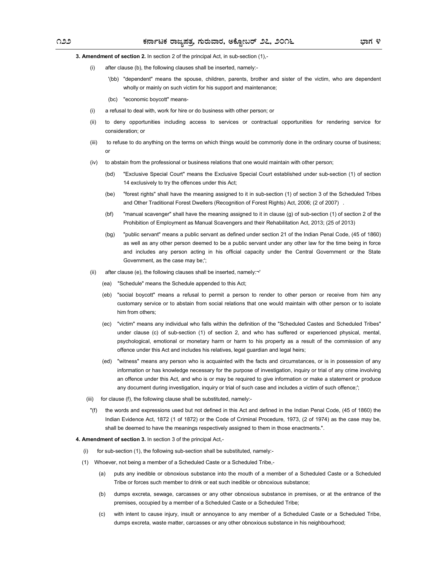- 3. Amendment of section 2. In section 2 of the principal Act, in sub-section (1),
	- after clause (b), the following clauses shall be inserted, namely:-
- <del>122 8 Amendment</del> of section 2. In section 2 of the principal Act, in sub-section (1).<br> **3. Amendment of section 2**. In section 2 of the principal Act, in sub-section (1).<br>
(i) after clause (b), the following clauses shall '(bb) "dependent" means the spouse, children, parents, brother and sister of the victim, who are dependent wholly or mainly on such victim for his support and maintenance;
	- (bc) "economic boycott" means-
	- (i) a refusal to deal with, work for hire or do business with other person; or
	- (ii) to deny opportunities including access to services or contractual opportunities for rendering service for consideration; or
	- (iii) to refuse to do anything on the terms on which things would be commonly done in the ordinary course of business; or (iv) to abstain from the professional or business relations that one would maintain with other person;
	- - (bd) "Exclusive Special Court" means the Exclusive Special Court established under sub-section (1) of section 14 exclusively to try the offences under this Act;
		- (be) "forest rights" shall have the meaning assigned to it in sub-section (1) of section 3 of the Scheduled Tribes and Other Traditional Forest Dwellers (Recognition of Forest Rights) Act, 2006; (2 of 2007)
		- (bf) "manual scavenger" shall have the meaning assigned to it in clause (g) of sub-section (1) of section 2 of the Prohibition of Employment as Manual Scavengers and their Rehabilitation Act, 2013; (25 of 2013)
		- (bg) "public servant" means a public servant as defined under section 21 of the Indian Penal Code, (45 of 1860) as well as any other person deemed to be a public servant under any other law for the time being in force and includes any person acting in his official capacity under the Central Government or the State Government, as the case may be;';
	- (ii) after clause (e), the following clauses shall be inserted, namely:¬'
		- (ea) "Schedule" means the Schedule appended to this Act;
		- (eb) "social boycott" means a refusal to permit a person to render to other person or receive from him any customary service or to abstain from social relations that one would maintain with other person or to isolate him from others;
		- (ec) "victim" means any individual who falls within the definition of the "Scheduled Castes and Scheduled Tribes" under clause (c) of sub-section (1) of section 2, and who has suffered or experienced physical, mental, psychological, emotional or monetary harm or harm to his property as a result of the commission of any offence under this Act and includes his relatives, legal guardian and legal heirs;
		- (ed) "witness" means any person who is acquainted with the facts and circumstances, or is in possession of any information or has knowledge necessary for the purpose of investigation, inquiry or trial of any crime involving an offence under this Act, and who is or may be required to give information or make a statement or produce any document during investigation, inquiry or trial of such case and includes a victim of such offence;';
	- (iii) for clause (f), the following clause shall be substituted, namely:-
	- "(f) the words and expressions used but not defined in this Act and defined in the Indian Penal Code, (45 of 1860) the Indian Evidence Act, 1872 (1 of 1872) or the Code of Criminal Procedure, 1973, (2 of 1974) as the case may be, shall be deemed to have the meanings respectively assigned to them in those enactments.".
	- 4. Amendment of section 3. In section 3 of the principal Act,-
		- (i) for sub-section (1), the following sub-section shall be substituted, namely:-
		- (1) Whoever, not being a member of a Scheduled Caste or a Scheduled Tribe,-
			- (a) puts any inedible or obnoxious substance into the mouth of a member of a Scheduled Caste or a Scheduled Tribe or forces such member to drink or eat such inedible or obnoxious substance;
			- (b) dumps excreta, sewage, carcasses or any other obnoxious substance in premises, or at the entrance of the premises, occupied by a member of a Scheduled Caste or a Scheduled Tribe;
			- (c) with intent to cause injury, insult or annoyance to any member of a Scheduled Caste or a Scheduled Tribe, dumps excreta, waste matter, carcasses or any other obnoxious substance in his neighbourhood;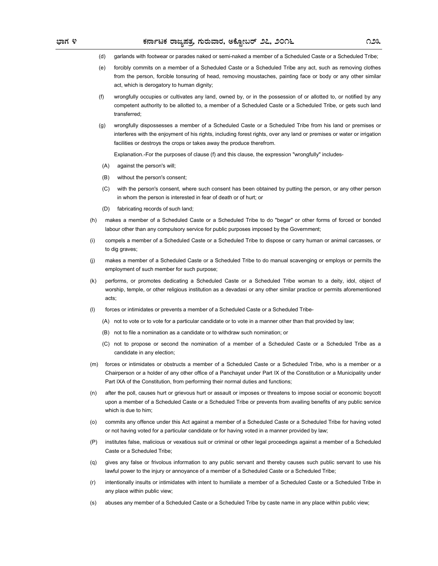| ಬಾಗ ೪ |     |       | ಕರ್ನಾಟಕ ರಾಜ್ಯಪತ್ರ, ಗುರುವಾರ, ಅಕ್ಷೋಬರ್ ೨೭, ೨೦೧೬                                                                                                                                                                                                                                                                           | ೧೨೩ |
|-------|-----|-------|-------------------------------------------------------------------------------------------------------------------------------------------------------------------------------------------------------------------------------------------------------------------------------------------------------------------------|-----|
|       |     | (d)   | garlands with footwear or parades naked or semi-naked a member of a Scheduled Caste or a Scheduled Tribe;                                                                                                                                                                                                               |     |
|       |     | (e)   | forcibly commits on a member of a Scheduled Caste or a Scheduled Tribe any act, such as removing clothes<br>from the person, forcible tonsuring of head, removing moustaches, painting face or body or any other similar<br>act, which is derogatory to human dignity;                                                  |     |
|       |     | (f)   | wrongfully occupies or cultivates any land, owned by, or in the possession of or allotted to, or notified by any<br>competent authority to be allotted to, a member of a Scheduled Caste or a Scheduled Tribe, or gets such land<br>transferred;                                                                        |     |
|       |     | (g)   | wrongfully dispossesses a member of a Scheduled Caste or a Scheduled Tribe from his land or premises or<br>interferes with the enjoyment of his rights, including forest rights, over any land or premises or water or irrigation<br>facilities or destroys the crops or takes away the produce therefrom.              |     |
|       |     |       | Explanation.-For the purposes of clause (f) and this clause, the expression "wrongfully" includes-                                                                                                                                                                                                                      |     |
|       |     | (A)   | against the person's will;                                                                                                                                                                                                                                                                                              |     |
|       |     | (B)   | without the person's consent;                                                                                                                                                                                                                                                                                           |     |
|       |     | (C)   | with the person's consent, where such consent has been obtained by putting the person, or any other person<br>in whom the person is interested in fear of death or of hurt; or                                                                                                                                          |     |
|       |     | (D)   | fabricating records of such land;                                                                                                                                                                                                                                                                                       |     |
|       | (h) |       | makes a member of a Scheduled Caste or a Scheduled Tribe to do "begar" or other forms of forced or bonded<br>labour other than any compulsory service for public purposes imposed by the Government;                                                                                                                    |     |
|       | (i) |       | compels a member of a Scheduled Caste or a Scheduled Tribe to dispose or carry human or animal carcasses, or<br>to dig graves;                                                                                                                                                                                          |     |
|       | (j) |       | makes a member of a Scheduled Caste or a Scheduled Tribe to do manual scavenging or employs or permits the<br>employment of such member for such purpose;                                                                                                                                                               |     |
|       | (k) | acts; | performs, or promotes dedicating a Scheduled Caste or a Scheduled Tribe woman to a deity, idol, object of<br>worship, temple, or other religious institution as a devadasi or any other similar practice or permits aforementioned                                                                                      |     |
|       | (1) |       | forces or intimidates or prevents a member of a Scheduled Caste or a Scheduled Tribe-                                                                                                                                                                                                                                   |     |
|       |     |       | (A) not to vote or to vote for a particular candidate or to vote in a manner other than that provided by law;                                                                                                                                                                                                           |     |
|       |     | (B)   | not to file a nomination as a candidate or to withdraw such nomination; or                                                                                                                                                                                                                                              |     |
|       |     |       | (C) not to propose or second the nomination of a member of a Scheduled Caste or a Scheduled Tribe as a<br>candidate in any election;                                                                                                                                                                                    |     |
|       | (m) |       | forces or intimidates or obstructs a member of a Scheduled Caste or a Scheduled Tribe, who is a member or a<br>Chairperson or a holder of any other office of a Panchayat under Part IX of the Constitution or a Municipality under<br>Part IXA of the Constitution, from performing their normal duties and functions; |     |
|       | (n) |       | after the poll, causes hurt or grievous hurt or assault or imposes or threatens to impose social or economic boycott<br>upon a member of a Scheduled Caste or a Scheduled Tribe or prevents from availing benefits of any public service<br>which is due to him;                                                        |     |
|       | (0) |       | commits any offence under this Act against a member of a Scheduled Caste or a Scheduled Tribe for having voted<br>or not having voted for a particular candidate or for having voted in a manner provided by law;                                                                                                       |     |
|       | (P) |       | institutes false, malicious or vexatious suit or criminal or other legal proceedings against a member of a Scheduled<br>Caste or a Scheduled Tribe;                                                                                                                                                                     |     |
|       | (q) |       | gives any false or frivolous information to any public servant and thereby causes such public servant to use his<br>lawful power to the injury or annoyance of a member of a Scheduled Caste or a Scheduled Tribe;                                                                                                      |     |
|       | (r) |       | intentionally insults or intimidates with intent to humiliate a member of a Scheduled Caste or a Scheduled Tribe in<br>any place within public view;                                                                                                                                                                    |     |

(s) abuses any member of a Scheduled Caste or a Scheduled Tribe by caste name in any place within public view;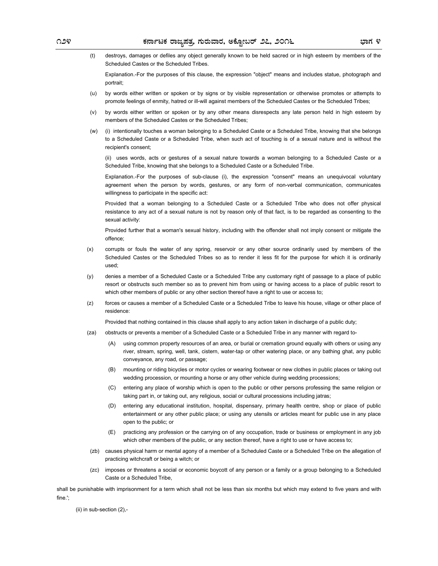124  $\frac{1}{2}$ <br>
12. 2002<br>
139  $\frac{1}{2}$ <br>
139  $\frac{1}{2}$ <br>
139  $\frac{1}{2}$ <br>
149  $\frac{1}{2}$ <br>
149  $\frac{1}{2}$ <br>
149  $\frac{1}{2}$ <br>
149  $\frac{1}{2}$ <br>
149  $\frac{1}{2}$ <br>
149  $\frac{1}{2}$ <br>
149  $\frac{1}{2}$ <br>
149  $\frac{1}{2}$ <br>
149  $\frac{1}{2}$ <br>
149  $\frac{1}{2}$ <br>
1 (t) destroys, damages or defiles any object generally known to be held sacred or in high esteem by members of the Scheduled Castes or the Scheduled Tribes.

 Explanation.-For the purposes of this clause, the expression "object" means and includes statue, photograph and portrait;

- (u) by words either written or spoken or by signs or by visible representation or otherwise promotes or attempts to promote feelings of enmity, hatred or ill-will against members of the Scheduled Castes or the Scheduled Tribes;
- (v) by words either written or spoken or by any other means disrespects any late person held in high esteem by members of the Scheduled Castes or the Scheduled Tribes;
- (w) (i) intentionally touches a woman belonging to a Scheduled Caste or a Scheduled Tribe, knowing that she belongs to a Scheduled Caste or a Scheduled Tribe, when such act of touching is of a sexual nature and is without the recipient's consent;

 (ii) uses words, acts or gestures of a sexual nature towards a woman belonging to a Scheduled Caste or a Scheduled Tribe, knowing that she belongs to a Scheduled Caste or a Scheduled Tribe.

 Explanation.-For the purposes of sub-clause (i), the expression "consent" means an unequivocal voluntary agreement when the person by words, gestures, or any form of non-verbal communication, communicates willingness to participate in the specific act:

 Provided that a woman belonging to a Scheduled Caste or a Scheduled Tribe who does not offer physical resistance to any act of a sexual nature is not by reason only of that fact, is to be regarded as consenting to the sexual activity:

 Provided further that a woman's sexual history, including with the offender shall not imply consent or mitigate the offence;

- (x) corrupts or fouls the water of any spring, reservoir or any other source ordinarily used by members of the Scheduled Castes or the Scheduled Tribes so as to render it less fit for the purpose for which it is ordinarily used;
- (y) denies a member of a Scheduled Caste or a Scheduled Tribe any customary right of passage to a place of public resort or obstructs such member so as to prevent him from using or having access to a place of public resort to which other members of public or any other section thereof have a right to use or access to;
- (z) forces or causes a member of a Scheduled Caste or a Scheduled Tribe to leave his house, village or other place of residence:

Provided that nothing contained in this clause shall apply to any action taken in discharge of a public duty;

- (za) obstructs or prevents a member of a Scheduled Caste or a Scheduled Tribe in any manner with regard to-
	- (A) using common property resources of an area, or burial or cremation ground equally with others or using any river, stream, spring, well, tank, cistern, water-tap or other watering place, or any bathing ghat, any public conveyance, any road, or passage;
	- (B) mounting or riding bicycles or motor cycles or wearing footwear or new clothes in public places or taking out wedding procession, or mounting a horse or any other vehicle during wedding processions;
	- (C) entering any place of worship which is open to the public or other persons professing the same religion or taking part in, or taking out, any religious, social or cultural processions including jatras;
	- (D) entering any educational institution, hospital, dispensary, primary health centre, shop or place of public entertainment or any other public place; or using any utensils or articles meant for public use in any place open to the public; or
	- (E) practicing any profession or the carrying on of any occupation, trade or business or employment in any job which other members of the public, or any section thereof, have a right to use or have access to;
- (zb) causes physical harm or mental agony of a member of a Scheduled Caste or a Scheduled Tribe on the allegation of practicing witchcraft or being a witch; or
- (zc) imposes or threatens a social or economic boycott of any person or a family or a group belonging to a Scheduled Caste or a Scheduled Tribe,

shall be punishable with imprisonment for a term which shall not be less than six months but which may extend to five years and with fine.';

(ii) in sub-section (2),-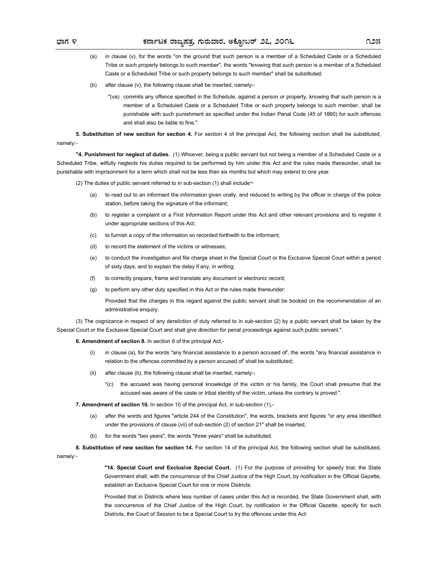- 237 37<br>
237 STE STE THE SOLUTION CONSIDER TO STATE OF SALE OF STATE OF STATE OF STATE OF STATE OF STATE OF SUPPORT (A<br>
239 (a) in clause (v), for the words "on the ground that such person is a member of a Scheduled Tribe o (a) in clause (v), for the words "on the ground that such person is a member of a Scheduled Caste or a Scheduled Tribe or such property belongs to such member", the words "knowing that such person is a member of a Scheduled Caste or a Scheduled Tribe or such property belongs to such member" shall be substituted;
	- (b) after clause (v), the following clause shall be inserted, namely:-
		- "(va) commits any offence specified in the Schedule, against a person or property, knowing that such person is a member of a Scheduled Caste or a Scheduled Tribe or such property belongs to such member, shall be punishable with such punishment as specified under the Indian Penal Code (45 of 1860) for such offences and shall also be liable to fine."

5. Substitution of new section for section 4. For section 4 of the principal Act, the following section shall be substituted, namely:-

"4. Punishment for neglect of duties. (1) Whoever, being a public servant but not being a member of a Scheduled Caste or a Scheduled Tribe, wilfully neglects his duties required to be performed by him under this Act and the rules made thereunder, shall be punishable with imprisonment for a term which shall not be less than six months but which may extend to one year.

(2) The duties of public servant referred to in sub-section (1) shall include¬

- (a) to read out to an informant the information given orally, and reduced to writing by the officer in charge of the police station, before taking the signature of the informant;
- (b) to register a complaint or a First Information Report under this Act and other relevant provisions and to register it under appropriate sections of this Act;
- (c) to furnish a copy of the information so recorded forthwith to the informant;
- (d) to record the statement of the victims or witnesses;
- (e) to conduct the investigation and file charge sheet in the Special Court or the Exclusive Special Court within a period of sixty days, and to explain the delay if any, in writing;
- (f) to correctly prepare, frame and translate any document or electronic record;
- (g) to perform any other duty specified in this Act or the rules made thereunder:

 Provided that the charges in this regard against the public servant shall be booked on the recommendation of an administrative enquiry.

 (3) The cognizance in respect of any dereliction of duty referred to in sub-section (2) by a public servant shall be taken by the Special Court or the Exclusive Special Court and shall give direction for penal proceedings against such public servant.".

6. Amendment of section 8. In section 8 of the principal Act,-

- (i) in clause (a), for the words "any financial assistance to a person accused of', the words "any financial assistance in relation to the offences committed by a person accused of' shall be substituted;
- (ii) after clause (b), the following clause shall be inserted, namely:-
	- "(c) the accused was having personal knowledge of the victim or his family, the Court shall presume that the accused was aware of the caste or tribal identity of the victim, unless the contrary is proved.".

7. Amendment of section 10. In section 10 of the principal Act, in sub-section (1),-

- (a) after the words and figures "article 244 of the Constitution", the words, brackets and figures "or any area identified under the provisions of clause (vii) of sub-section (2) of section 21" shall be inserted;
- for the words "two years", the words "three years" shall be substituted.

8. Substitution of new section for section 14. For section 14 of the principal Act, the following section shall be substituted, namely:-

> "14. Special Court and Exclusive Special Court. (1) For the purpose of providing for speedy trial, the State Government shall, with the concurrence of the Chief Justice of the High Court, by notification in the Official Gazette, establish an Exclusive Special Court for one or more Districts:

> Provided that in Districts where less number of cases under this Act is recorded, the State Government shall, with the concurrence of the Chief Justice of the High Court, by notification in the Official Gazette, specify for such Districts, the Court of Session to be a Special Court to try the offences under this Act: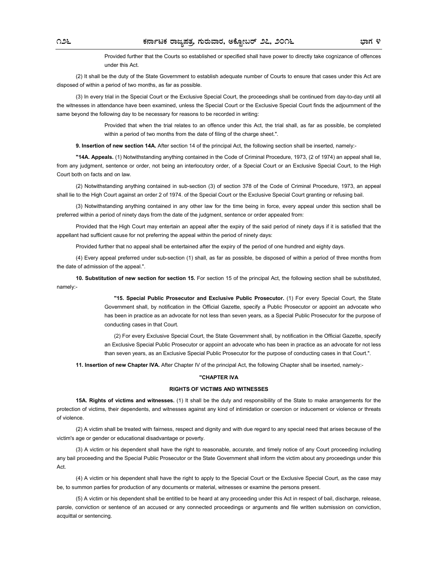Provided further that the Courts so established or specified shall have power to directly take cognizance of offences under this Act.

126 Provided further that the Courts so established or specified shall have power to directly take cognizance of offences under this Act.<br>
(2) It shall be the duty of the State Government to establish adequate number of C (2) It shall be the duty of the State Government to establish adequate number of Courts to ensure that cases under this Act are disposed of within a period of two months, as far as possible.

 (3) In every trial in the Special Court or the Exclusive Special Court, the proceedings shall be continued from day-to-day until all the witnesses in attendance have been examined, unless the Special Court or the Exclusive Special Court finds the adjournment of the same beyond the following day to be necessary for reasons to be recorded in writing:

> Provided that when the trial relates to an offence under this Act, the trial shall, as far as possible, be completed within a period of two months from the date of filing of the charge sheet.".

9. Insertion of new section 14A. After section 14 of the principal Act, the following section shall be inserted, namely:-

"14A. Appeals. (1) Notwithstanding anything contained in the Code of Criminal Procedure, 1973, (2 of 1974) an appeal shall lie, from any judgment, sentence or order, not being an interlocutory order, of a Special Court or an Exclusive Special Court, to the High Court both on facts and on law.

 (2) Notwithstanding anything contained in sub-section (3) of section 378 of the Code of Criminal Procedure, 1973, an appeal shall lie to the High Court against an order 2 of 1974. of the Special Court or the Exclusive Special Court granting or refusing bail.

 (3) Notwithstanding anything contained in any other law for the time being in force, every appeal under this section shall be preferred within a period of ninety days from the date of the judgment, sentence or order appealed from:

 Provided that the High Court may entertain an appeal after the expiry of the said period of ninety days if it is satisfied that the appellant had sufficient cause for not preferring the appeal within the period of ninety days:

Provided further that no appeal shall be entertained after the expiry of the period of one hundred and eighty days.

 (4) Every appeal preferred under sub-section (1) shall, as far as possible, be disposed of within a period of three months from the date of admission of the appeal.".

10. Substitution of new section for section 15. For section 15 of the principal Act, the following section shall be substituted, namely:-

> "15. Special Public Prosecutor and Exclusive Public Prosecutor. (1) For every Special Court, the State Government shall, by notification in the Official Gazette, specify a Public Prosecutor or appoint an advocate who has been in practice as an advocate for not less than seven years, as a Special Public Prosecutor for the purpose of conducting cases in that Court.

> (2) For every Exclusive Special Court, the State Government shall, by notification in the Official Gazette, specify an Exclusive Special Public Prosecutor or appoint an advocate who has been in practice as an advocate for not less than seven years, as an Exclusive Special Public Prosecutor for the purpose of conducting cases in that Court.".

11. Insertion of new Chapter IVA. After Chapter IV of the principal Act, the following Chapter shall be inserted, namely:-

#### "CHAPTER IVA

#### RIGHTS OF VICTIMS AND WITNESSES

15A. Rights of victims and witnesses. (1) It shall be the duty and responsibility of the State to make arrangements for the protection of victims, their dependents, and witnesses against any kind of intimidation or coercion or inducement or violence or threats of violence.

 (2) A victim shall be treated with fairness, respect and dignity and with due regard to any special need that arises because of the victim's age or gender or educational disadvantage or poverty.

 (3) A victim or his dependent shall have the right to reasonable, accurate, and timely notice of any Court proceeding including any bail proceeding and the Special Public Prosecutor or the State Government shall inform the victim about any proceedings under this Act.

 (4) A victim or his dependent shall have the right to apply to the Special Court or the Exclusive Special Court, as the case may be, to summon parties for production of any documents or material, witnesses or examine the persons present.

 (5) A victim or his dependent shall be entitled to be heard at any proceeding under this Act in respect of bail, discharge, release, parole, conviction or sentence of an accused or any connected proceedings or arguments and file written submission on conviction, acquittal or sentencing.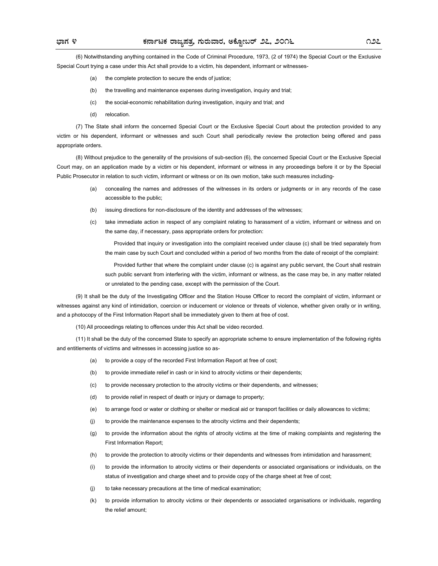237 <sup>2</sup><br>
(6) Notwithstanding anything contained in the Code of Criminal Procedure, 1973, (2 of 1974) the Special Court or the Exclusive<br>
Special Court trying a case under this Act shall provide to a victim, his dependent, (6) Notwithstanding anything contained in the Code of Criminal Procedure, 1973, (2 of 1974) the Special Court or the Exclusive Special Court trying a case under this Act shall provide to a victim, his dependent, informant or witnesses-

- (a) the complete protection to secure the ends of justice;
- (b) the travelling and maintenance expenses during investigation, inquiry and trial;
- (c) the social-economic rehabilitation during investigation, inquiry and trial; and
- (d) relocation.

 (7) The State shall inform the concerned Special Court or the Exclusive Special Court about the protection provided to any victim or his dependent, informant or witnesses and such Court shall periodically review the protection being offered and pass appropriate orders.

 (8) Without prejudice to the generality of the provisions of sub-section (6), the concerned Special Court or the Exclusive Special Court may, on an application made by a victim or his dependent, informant or witness in any proceedings before it or by the Special Public Prosecutor in relation to such victim, informant or witness or on its own motion, take such measures including-

- (a) concealing the names and addresses of the witnesses in its orders or judgments or in any records of the case accessible to the public;
- (b) issuing directions for non-disclosure of the identity and addresses of the witnesses;
- (c) take immediate action in respect of any complaint relating to harassment of a victim, informant or witness and on the same day, if necessary, pass appropriate orders for protection:

 Provided that inquiry or investigation into the complaint received under clause (c) shall be tried separately from the main case by such Court and concluded within a period of two months from the date of receipt of the complaint:

 Provided further that where the complaint under clause (c) is against any public servant, the Court shall restrain such public servant from interfering with the victim, informant or witness, as the case may be, in any matter related or unrelated to the pending case, except with the permission of the Court.

 (9) It shall be the duty of the Investigating Officer and the Station House Officer to record the complaint of victim, informant or witnesses against any kind of intimidation, coercion or inducement or violence or threats of violence, whether given orally or in writing, and a photocopy of the First Information Report shall be immediately given to them at free of cost.

(10) All proceedings relating to offences under this Act shall be video recorded.

 (11) It shall be the duty of the concerned State to specify an appropriate scheme to ensure implementation of the following rights and entitlements of victims and witnesses in accessing justice so as-

- (a) to provide a copy of the recorded First Information Report at free of cost;
- (b) to provide immediate relief in cash or in kind to atrocity victims or their dependents;
- (c) to provide necessary protection to the atrocity victims or their dependents, and witnesses;
- (d) to provide relief in respect of death or injury or damage to property;
- (e) to arrange food or water or clothing or shelter or medical aid or transport facilities or daily allowances to victims;
- (j) to provide the maintenance expenses to the atrocity victims and their dependents;
- (g) to provide the information about the rights of atrocity victims at the time of making complaints and registering the First Information Report;
- (h) to provide the protection to atrocity victims or their dependents and witnesses from intimidation and harassment;
- (i) to provide the information to atrocity victims or their dependents or associated organisations or individuals, on the status of investigation and charge sheet and to provide copy of the charge sheet at free of cost;
- (j) to take necessary precautions at the time of medical examination;
- (k) to provide information to atrocity victims or their dependents or associated organisations or individuals, regarding the relief amount;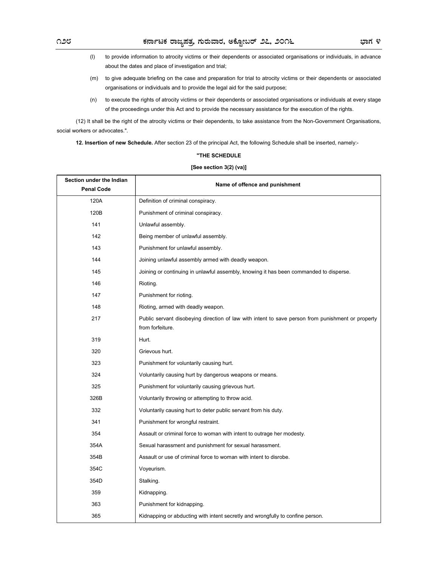| [See section 3(2) (va)]                       |                                                                                                                       |  |  |  |  |  |
|-----------------------------------------------|-----------------------------------------------------------------------------------------------------------------------|--|--|--|--|--|
| Section under the Indian<br><b>Penal Code</b> | Name of offence and punishment                                                                                        |  |  |  |  |  |
| 120A                                          | Definition of criminal conspiracy.                                                                                    |  |  |  |  |  |
| 120B                                          | Punishment of criminal conspiracy.                                                                                    |  |  |  |  |  |
| 141                                           | Unlawful assembly.                                                                                                    |  |  |  |  |  |
| 142                                           | Being member of unlawful assembly.                                                                                    |  |  |  |  |  |
| 143                                           | Punishment for unlawful assembly.                                                                                     |  |  |  |  |  |
| 144                                           | Joining unlawful assembly armed with deadly weapon.                                                                   |  |  |  |  |  |
| 145                                           | Joining or continuing in unlawful assembly, knowing it has been commanded to disperse.                                |  |  |  |  |  |
| 146                                           | Rioting.                                                                                                              |  |  |  |  |  |
| 147                                           | Punishment for rioting.                                                                                               |  |  |  |  |  |
| 148                                           | Rioting, armed with deadly weapon.                                                                                    |  |  |  |  |  |
| 217                                           | Public servant disobeying direction of law with intent to save person from punishment or property<br>from forfeiture. |  |  |  |  |  |
| 319                                           | Hurt.                                                                                                                 |  |  |  |  |  |
| 320                                           | Grievous hurt.                                                                                                        |  |  |  |  |  |
| 323                                           | Punishment for voluntarily causing hurt.                                                                              |  |  |  |  |  |
| 324                                           | Voluntarily causing hurt by dangerous weapons or means.                                                               |  |  |  |  |  |
| 325                                           | Punishment for voluntarily causing grievous hurt.                                                                     |  |  |  |  |  |
| 326B                                          | Voluntarily throwing or attempting to throw acid.                                                                     |  |  |  |  |  |
| 332                                           | Voluntarily causing hurt to deter public servant from his duty.                                                       |  |  |  |  |  |
| 341                                           | Punishment for wrongful restraint.                                                                                    |  |  |  |  |  |
| 354                                           | Assault or criminal force to woman with intent to outrage her modesty.                                                |  |  |  |  |  |
| 354A                                          | Sexual harassment and punishment for sexual harassment.                                                               |  |  |  |  |  |
| 354B                                          | Assault or use of criminal force to woman with intent to disrobe.                                                     |  |  |  |  |  |
| 354C                                          | Voyeurism.                                                                                                            |  |  |  |  |  |
| 354D                                          | Stalking.                                                                                                             |  |  |  |  |  |
| 359                                           | Kidnapping.                                                                                                           |  |  |  |  |  |
| 363                                           | Punishment for kidnapping.                                                                                            |  |  |  |  |  |
| 365                                           | Kidnapping or abducting with intent secretly and wrongfully to confine person.                                        |  |  |  |  |  |

social workers or advocates.".

(n) to execute the rights of atrocity victims or their dependents or associated organisations or individuals at every stage of the proceedings under this Act and to provide the necessary assistance for the execution of the rights. (12) It shall be the right of the atrocity victims or their dependents, to take assistance from the Non-Government Organisations,

 12. Insertion of new Schedule. After section 23 of the principal Act, the following Schedule shall be inserted, namely:- "THE SCHEDULE